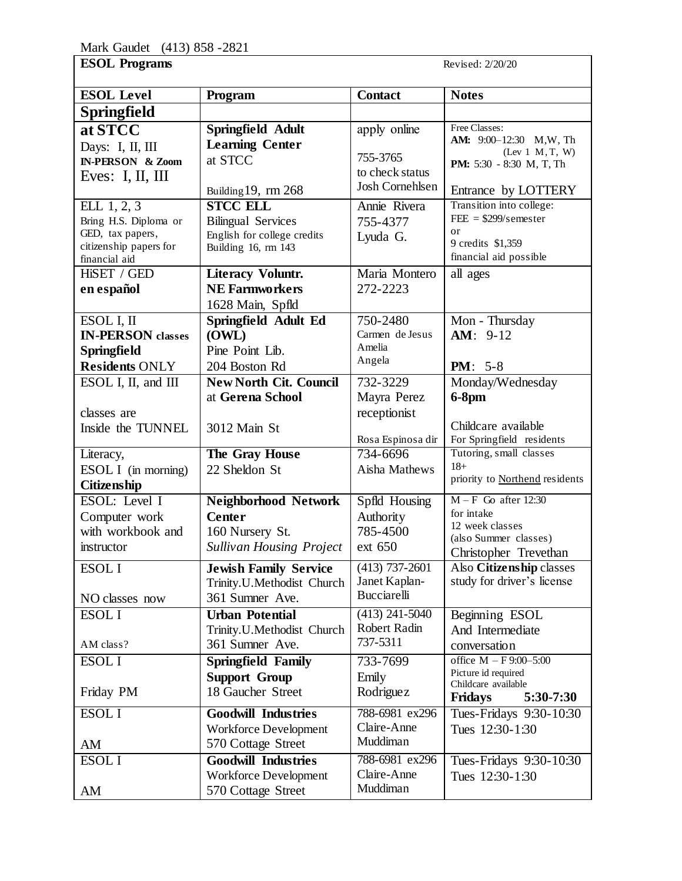| <b>ESOL Level</b>            | Program                                            | <b>Contact</b>    | <b>Notes</b>                                |
|------------------------------|----------------------------------------------------|-------------------|---------------------------------------------|
| <b>Springfield</b>           |                                                    |                   |                                             |
| at STCC                      | Springfield Adult                                  | apply online      | Free Classes:                               |
| Days: I, II, III             | <b>Learning Center</b>                             |                   | AM: 9:00-12:30 M,W, Th                      |
| <b>IN-PERSON</b> & Zoom      | at STCC                                            | 755-3765          | (Lev 1 M, T, W)<br>PM: 5:30 - 8:30 M, T, Th |
| Eves: $I, II, III$           |                                                    | to check status   |                                             |
|                              | Building 19, rm 268                                | Josh Cornehlsen   | Entrance by LOTTERY                         |
| ELL 1, 2, 3                  | <b>STCC ELL</b>                                    | Annie Rivera      | Transition into college:                    |
| Bring H.S. Diploma or        | <b>Bilingual Services</b>                          | 755-4377          | $FEE = $299/s$ emester                      |
| GED, tax papers,             | English for college credits                        | Lyuda G.          | or<br>9 credits \$1,359                     |
| citizenship papers for       | Building 16, rm 143                                |                   | financial aid possible                      |
| financial aid<br>HiSET / GED | <b>Literacy Voluntr.</b>                           | Maria Montero     | all ages                                    |
| en español                   | <b>NE Farmworkers</b>                              | 272-2223          |                                             |
|                              | 1628 Main, Spfld                                   |                   |                                             |
| ESOL I, II                   | Springfield Adult Ed                               | 750-2480          | Mon - Thursday                              |
| <b>IN-PERSON</b> classes     | (OWL)                                              | Carmen de Jesus   | $AM: 9-12$                                  |
| <b>Springfield</b>           | Pine Point Lib.                                    | Amelia            |                                             |
| <b>Residents ONLY</b>        | 204 Boston Rd                                      | Angela            | <b>PM</b> : $5-8$                           |
| ESOL I, II, and III          | <b>New North Cit. Council</b>                      | 732-3229          | Monday/Wednesday                            |
|                              | at Gerena School                                   | Mayra Perez       | $6-8$ pm                                    |
| classes are                  |                                                    | receptionist      |                                             |
| Inside the TUNNEL            | 3012 Main St                                       |                   | Childcare available                         |
|                              |                                                    | Rosa Espinosa dir | For Springfield residents                   |
| Literacy,                    | The Gray House                                     | 734-6696          | Tutoring, small classes                     |
| ESOL I (in morning)          | 22 Sheldon St                                      | Aisha Mathews     | $18+$                                       |
| Citizenship                  |                                                    |                   | priority to Northend residents              |
| ESOL: Level I                | <b>Neighborhood Network</b>                        | Spfld Housing     | $M - F$ Go after 12:30                      |
| Computer work                | <b>Center</b>                                      | Authority         | for intake                                  |
| with workbook and            | 160 Nursery St.                                    | 785-4500          | 12 week classes<br>(also Summer classes)    |
| instructor                   | <b>Sullivan Housing Project</b>                    | ext 650           | Christopher Trevethan                       |
| ESOL I                       | <b>Jewish Family Service</b>                       | $(413)$ 737-2601  | Also Citizenship classes                    |
|                              | Trinity.U.Methodist Church                         | Janet Kaplan-     | study for driver's license                  |
| NO classes now               | 361 Sumner Ave.                                    | Bucciarelli       |                                             |
| <b>ESOLI</b>                 | <b>Urban Potential</b>                             | $(413)$ 241-5040  | Beginning ESOL                              |
|                              | Trinity.U.Methodist Church                         | Robert Radin      | And Intermediate                            |
| AM class?                    | 361 Sumner Ave.                                    | 737-5311          | conversation                                |
| <b>ESOLI</b>                 | <b>Springfield Family</b>                          | 733-7699          | office $M - F9:00-5:00$                     |
|                              | <b>Support Group</b>                               | Emily             | Picture id required                         |
| Friday PM                    | 18 Gaucher Street                                  | Rodriguez         | Childcare available<br>5:30-7:30            |
|                              |                                                    | 788-6981 ex296    | <b>Fridays</b>                              |
| <b>ESOLI</b>                 | <b>Goodwill Industries</b>                         | Claire-Anne       | Tues-Fridays 9:30-10:30                     |
|                              | <b>Workforce Development</b><br>570 Cottage Street | Muddiman          | Tues 12:30-1:30                             |
| AM                           | <b>Goodwill Industries</b>                         | 788-6981 ex296    |                                             |
| <b>ESOLI</b>                 |                                                    | Claire-Anne       | Tues-Fridays 9:30-10:30                     |
|                              | <b>Workforce Development</b><br>570 Cottage Street | Muddiman          | Tues 12:30-1:30                             |
| AM                           |                                                    |                   |                                             |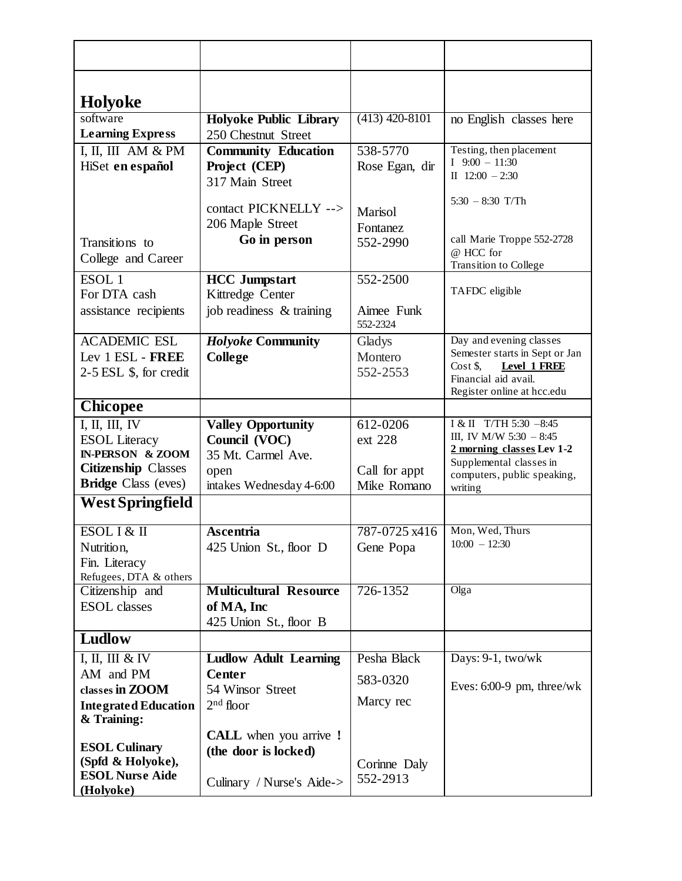| Holyoke                                                  |                               |                        |                                                              |
|----------------------------------------------------------|-------------------------------|------------------------|--------------------------------------------------------------|
| software                                                 | <b>Holyoke Public Library</b> | $(413)$ 420-8101       | no English classes here                                      |
| <b>Learning Express</b>                                  | 250 Chestnut Street           |                        |                                                              |
| I, II, III AM & PM                                       | <b>Community Education</b>    | 538-5770               | Testing, then placement                                      |
| HiSet en español                                         | Project (CEP)                 | Rose Egan, dir         | $I$ 9:00 - 11:30                                             |
|                                                          | 317 Main Street               |                        | II $12:00 - 2:30$                                            |
|                                                          | contact PICKNELLY -->         |                        | $5:30 - 8:30$ T/Th                                           |
|                                                          | 206 Maple Street              | Marisol                |                                                              |
|                                                          | Go in person                  | Fontanez               | call Marie Troppe 552-2728                                   |
| Transitions to                                           |                               | 552-2990               | @ HCC for                                                    |
| College and Career                                       |                               |                        | Transition to College                                        |
| $ESOL$ <sup>1</sup>                                      | <b>HCC</b> Jumpstart          | 552-2500               |                                                              |
| For DTA cash                                             | Kittredge Center              |                        | TAFDC eligible                                               |
| assistance recipients                                    | job readiness & training      | Aimee Funk<br>552-2324 |                                                              |
| <b>ACADEMIC ESL</b>                                      | <b>Holyoke Community</b>      | Gladys                 | Day and evening classes                                      |
| Lev 1 ESL - FREE                                         | <b>College</b>                | Montero                | Semester starts in Sept or Jan<br>Level 1 FREE<br>$Cost $$ , |
| $2-5$ ESL $$$ , for credit                               |                               | 552-2553               | Financial aid avail.                                         |
|                                                          |                               |                        | Register online at hcc.edu                                   |
| <b>Chicopee</b>                                          |                               |                        |                                                              |
| I, II, III, IV                                           | <b>Valley Opportunity</b>     | 612-0206               | I & II T/TH 5:30 -8:45                                       |
| <b>ESOL</b> Literacy                                     | Council (VOC)                 | ext 228                | III, IV M/W $5:30 - 8:45$<br>2 morning classes Lev 1-2       |
| <b>IN-PERSON &amp; ZOOM</b>                              | 35 Mt. Carmel Ave.            |                        | Supplemental classes in                                      |
| <b>Citizenship Classes</b>                               | open                          | Call for appt          | computers, public speaking,                                  |
| <b>Bridge Class (eves)</b>                               | intakes Wednesday 4-6:00      | Mike Romano            | writing                                                      |
| West Springfield                                         |                               |                        |                                                              |
| ESOL I & II                                              | Ascentria                     | 787-0725 x416          | Mon, Wed, Thurs                                              |
| Nutrition,                                               | 425 Union St., floor D        | Gene Popa              | $10:00 - 12:30$                                              |
| Fin. Literacy                                            |                               |                        |                                                              |
| Refugees, DTA & others                                   | <b>Multicultural Resource</b> | 726-1352               | Olga                                                         |
| Citizenship and<br><b>ESOL</b> classes                   | of MA, Inc                    |                        |                                                              |
|                                                          | 425 Union St., floor B        |                        |                                                              |
| Ludlow                                                   |                               |                        |                                                              |
| $\overline{I}$ , $\overline{II}$ , $\overline{III}$ & IV | <b>Ludlow Adult Learning</b>  | Pesha Black            | Days: 9-1, two/wk                                            |
| AM and PM                                                | <b>Center</b>                 | 583-0320               |                                                              |
| classes in ZOOM                                          | 54 Winsor Street              |                        | Eves: $6:00-9$ pm, three/wk                                  |
| <b>Integrated Education</b><br>& Training:               | $2nd$ floor                   | Marcy rec              |                                                              |
|                                                          | <b>CALL</b> when you arrive ! |                        |                                                              |
| <b>ESOL Culinary</b>                                     | (the door is locked)          |                        |                                                              |
| (Spfd & Holyoke),                                        |                               | Corinne Daly           |                                                              |
| <b>ESOL Nurse Aide</b><br>(Holyoke)                      | Culinary / Nurse's Aide->     | 552-2913               |                                                              |